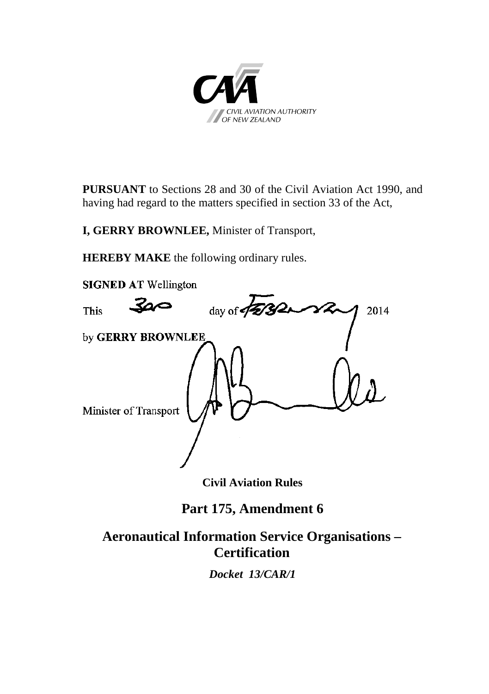

**PURSUANT** to Sections 28 and 30 of the Civil Aviation Act 1990, and having had regard to the matters specified in section 33 of the Act,

**I, GERRY BROWNLEE,** Minister of Transport,

**HEREBY MAKE** the following ordinary rules.



**Civil Aviation Rules**

**Part 175, Amendment 6**

# **Aeronautical Information Service Organisations – Certification**

*Docket 13/CAR/1*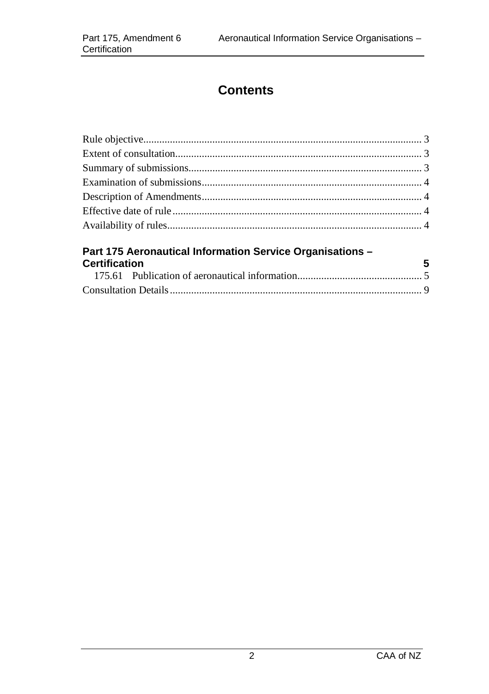# **Contents**

| Part 175 Aeronautical Information Service Organisations -<br>$\overline{\phantom{0}}$ 5<br><b>Certification</b> |  |
|-----------------------------------------------------------------------------------------------------------------|--|
|                                                                                                                 |  |
|                                                                                                                 |  |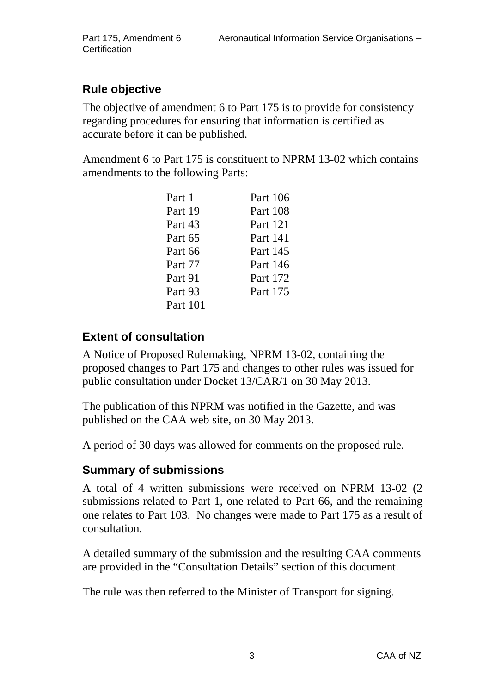## <span id="page-2-0"></span>**Rule objective**

The objective of amendment 6 to Part 175 is to provide for consistency regarding procedures for ensuring that information is certified as accurate before it can be published.

Amendment 6 to Part 175 is constituent to NPRM 13-02 which contains amendments to the following Parts:

| Part 1   | Part 106 |
|----------|----------|
| Part 19  | Part 108 |
| Part 43  | Part 121 |
| Part 65  | Part 141 |
| Part 66  | Part 145 |
| Part 77  | Part 146 |
| Part 91  | Part 172 |
| Part 93  | Part 175 |
| Part 101 |          |

## <span id="page-2-1"></span>**Extent of consultation**

A Notice of Proposed Rulemaking, NPRM 13-02, containing the proposed changes to Part 175 and changes to other rules was issued for public consultation under Docket 13/CAR/1 on 30 May 2013.

The publication of this NPRM was notified in the Gazette, and was published on the CAA web site, on 30 May 2013.

A period of 30 days was allowed for comments on the proposed rule.

### <span id="page-2-2"></span>**Summary of submissions**

A total of 4 written submissions were received on NPRM 13-02 (2 submissions related to Part 1, one related to Part 66, and the remaining one relates to Part 103. No changes were made to Part 175 as a result of consultation.

A detailed summary of the submission and the resulting CAA comments are provided in the "Consultation Details" section of this document.

The rule was then referred to the Minister of Transport for signing.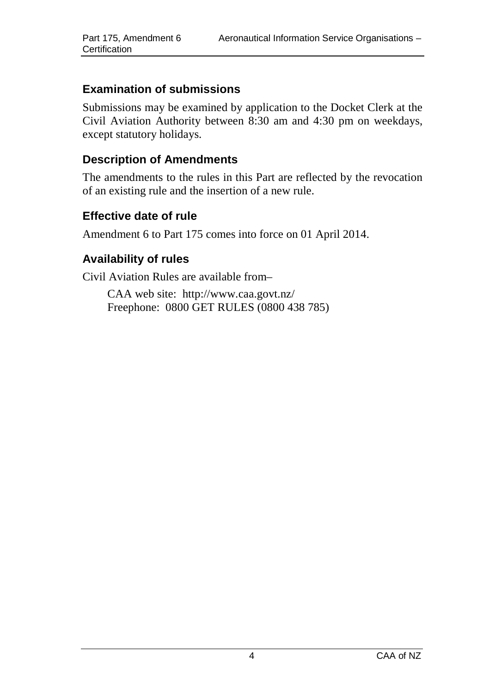### <span id="page-3-0"></span>**Examination of submissions**

Submissions may be examined by application to the Docket Clerk at the Civil Aviation Authority between 8:30 am and 4:30 pm on weekdays, except statutory holidays.

#### <span id="page-3-1"></span>**Description of Amendments**

The amendments to the rules in this Part are reflected by the revocation of an existing rule and the insertion of a new rule.

#### <span id="page-3-2"></span>**Effective date of rule**

Amendment 6 to Part 175 comes into force on 01 April 2014.

### <span id="page-3-3"></span>**Availability of rules**

Civil Aviation Rules are available from–

CAA web site:<http://www.caa.govt.nz/> Freephone: 0800 GET RULES (0800 438 785)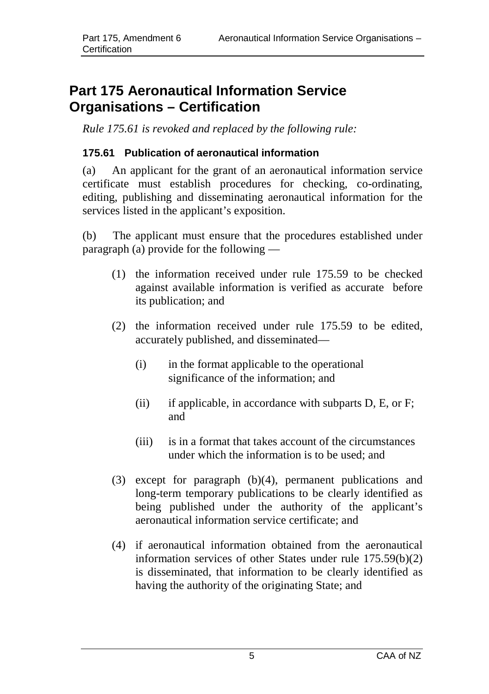# <span id="page-4-0"></span>**Part 175 Aeronautical Information Service Organisations – Certification**

*Rule 175.61 is revoked and replaced by the following rule:* 

#### <span id="page-4-1"></span>**175.61 Publication of aeronautical information**

(a) An applicant for the grant of an aeronautical information service certificate must establish procedures for checking, co-ordinating, editing, publishing and disseminating aeronautical information for the services listed in the applicant's exposition.

(b) The applicant must ensure that the procedures established under paragraph (a) provide for the following —

- (1) the information received under rule 175.59 to be checked against available information is verified as accurate before its publication; and
- (2) the information received under rule 175.59 to be edited, accurately published, and disseminated—
	- (i) in the format applicable to the operational significance of the information; and
	- (ii) if applicable, in accordance with subparts D, E, or F; and
	- (iii) is in a format that takes account of the circumstances under which the information is to be used; and
- (3) except for paragraph (b)(4), permanent publications and long-term temporary publications to be clearly identified as being published under the authority of the applicant's aeronautical information service certificate; and
- (4) if aeronautical information obtained from the aeronautical information services of other States under rule 175.59(b)(2) is disseminated, that information to be clearly identified as having the authority of the originating State; and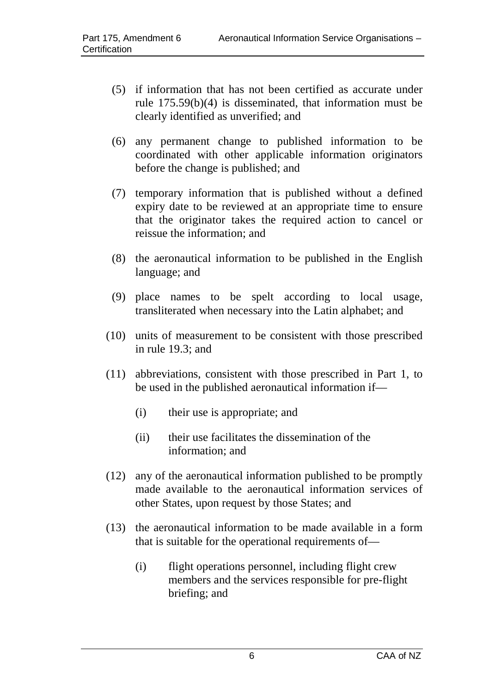- (5) if information that has not been certified as accurate under rule 175.59(b)(4) is disseminated, that information must be clearly identified as unverified; and
- (6) any permanent change to published information to be coordinated with other applicable information originators before the change is published; and
- (7) temporary information that is published without a defined expiry date to be reviewed at an appropriate time to ensure that the originator takes the required action to cancel or reissue the information; and
- (8) the aeronautical information to be published in the English language; and
- (9) place names to be spelt according to local usage, transliterated when necessary into the Latin alphabet; and
- (10) units of measurement to be consistent with those prescribed in rule 19.3; and
- (11) abbreviations, consistent with those prescribed in Part 1, to be used in the published aeronautical information if—
	- (i) their use is appropriate; and
	- (ii) their use facilitates the dissemination of the information; and
- (12) any of the aeronautical information published to be promptly made available to the aeronautical information services of other States, upon request by those States; and
- (13) the aeronautical information to be made available in a form that is suitable for the operational requirements of—
	- (i) flight operations personnel, including flight crew members and the services responsible for pre-flight briefing; and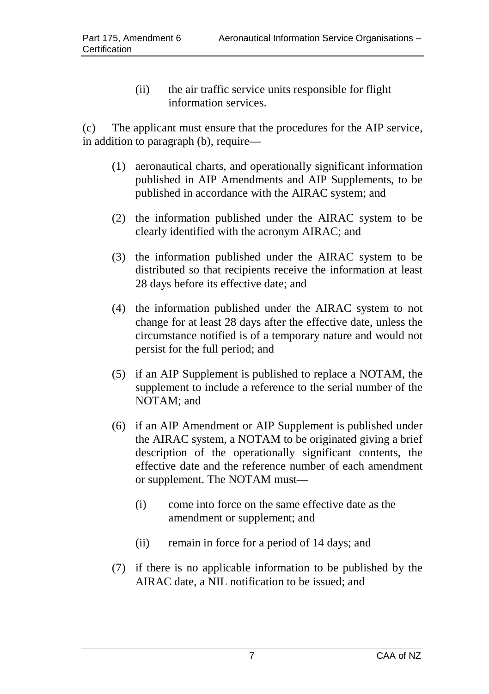(ii) the air traffic service units responsible for flight information services.

(c) The applicant must ensure that the procedures for the AIP service, in addition to paragraph (b), require—

- (1) aeronautical charts, and operationally significant information published in AIP Amendments and AIP Supplements, to be published in accordance with the AIRAC system; and
- (2) the information published under the AIRAC system to be clearly identified with the acronym AIRAC; and
- (3) the information published under the AIRAC system to be distributed so that recipients receive the information at least 28 days before its effective date; and
- (4) the information published under the AIRAC system to not change for at least 28 days after the effective date, unless the circumstance notified is of a temporary nature and would not persist for the full period; and
- (5) if an AIP Supplement is published to replace a NOTAM, the supplement to include a reference to the serial number of the NOTAM; and
- (6) if an AIP Amendment or AIP Supplement is published under the AIRAC system, a NOTAM to be originated giving a brief description of the operationally significant contents, the effective date and the reference number of each amendment or supplement. The NOTAM must—
	- (i) come into force on the same effective date as the amendment or supplement; and
	- (ii) remain in force for a period of 14 days; and
- (7) if there is no applicable information to be published by the AIRAC date, a NIL notification to be issued; and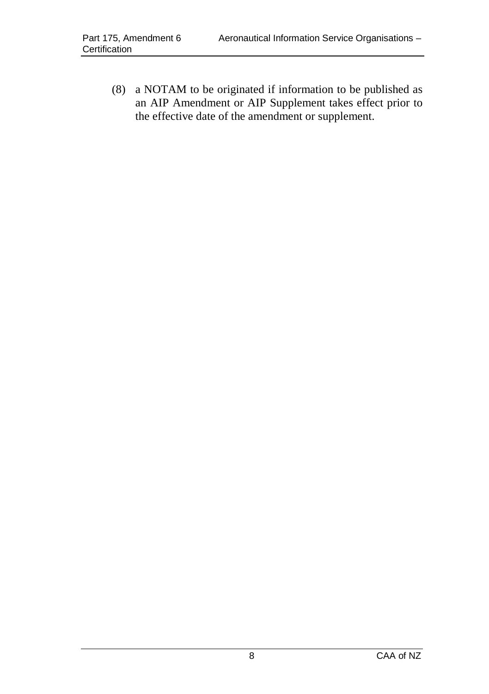<span id="page-7-0"></span>(8) a NOTAM to be originated if information to be published as an AIP Amendment or AIP Supplement takes effect prior to the effective date of the amendment or supplement.